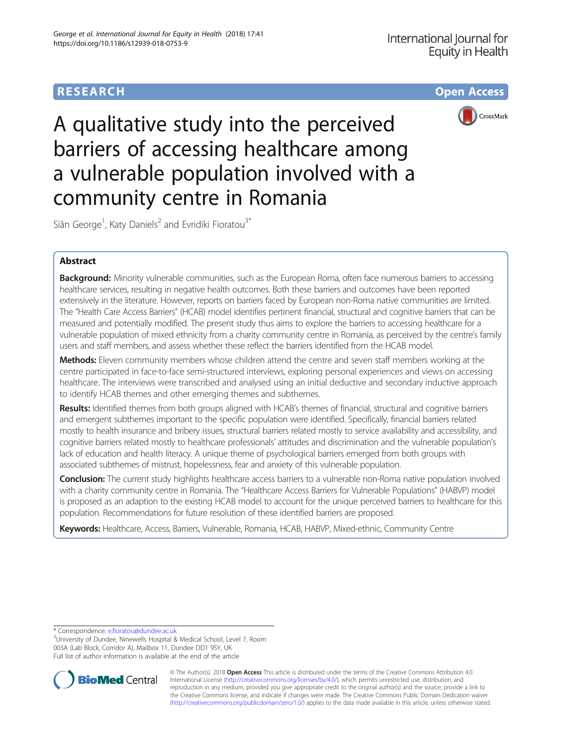# **RESEARCH CHE Open Access**



A qualitative study into the perceived barriers of accessing healthcare among a vulnerable population involved with a community centre in Romania

Siân George<sup>1</sup>, Katy Daniels<sup>2</sup> and Evridiki Fioratou<sup>3\*</sup>

# Abstract

Background: Minority vulnerable communities, such as the European Roma, often face numerous barriers to accessing healthcare services, resulting in negative health outcomes. Both these barriers and outcomes have been reported extensively in the literature. However, reports on barriers faced by European non-Roma native communities are limited. The "Health Care Access Barriers" (HCAB) model identifies pertinent financial, structural and cognitive barriers that can be measured and potentially modified. The present study thus aims to explore the barriers to accessing healthcare for a vulnerable population of mixed ethnicity from a charity community centre in Romania, as perceived by the centre's family users and staff members, and assess whether these reflect the barriers identified from the HCAB model.

Methods: Eleven community members whose children attend the centre and seven staff members working at the centre participated in face-to-face semi-structured interviews, exploring personal experiences and views on accessing healthcare. The interviews were transcribed and analysed using an initial deductive and secondary inductive approach to identify HCAB themes and other emerging themes and subthemes.

Results: Identified themes from both groups aligned with HCAB's themes of financial, structural and cognitive barriers and emergent subthemes important to the specific population were identified. Specifically, financial barriers related mostly to health insurance and bribery issues, structural barriers related mostly to service availability and accessibility, and cognitive barriers related mostly to healthcare professionals' attitudes and discrimination and the vulnerable population's lack of education and health literacy. A unique theme of psychological barriers emerged from both groups with associated subthemes of mistrust, hopelessness, fear and anxiety of this vulnerable population.

Conclusion: The current study highlights healthcare access barriers to a vulnerable non-Roma native population involved with a charity community centre in Romania. The "Healthcare Access Barriers for Vulnerable Populations" (HABVP) model is proposed as an adaption to the existing HCAB model to account for the unique perceived barriers to healthcare for this population. Recommendations for future resolution of these identified barriers are proposed.

Keywords: Healthcare, Access, Barriers, Vulnerable, Romania, HCAB, HABVP, Mixed-ethnic, Community Centre

\* Correspondence: [e.fioratou@dundee.ac.uk](mailto:e.fioratou@dundee.ac.uk) <sup>3</sup>

<sup>3</sup>University of Dundee, Ninewells Hospital & Medical School, Level 7, Room 003A (Lab Block, Corridor A), Mailbox 11, Dundee DD1 9SY, UK Full list of author information is available at the end of the article



© The Author(s). 2018 Open Access This article is distributed under the terms of the Creative Commons Attribution 4.0 International License [\(http://creativecommons.org/licenses/by/4.0/](http://creativecommons.org/licenses/by/4.0/)), which permits unrestricted use, distribution, and reproduction in any medium, provided you give appropriate credit to the original author(s) and the source, provide a link to the Creative Commons license, and indicate if changes were made. The Creative Commons Public Domain Dedication waiver [\(http://creativecommons.org/publicdomain/zero/1.0/](http://creativecommons.org/publicdomain/zero/1.0/)) applies to the data made available in this article, unless otherwise stated.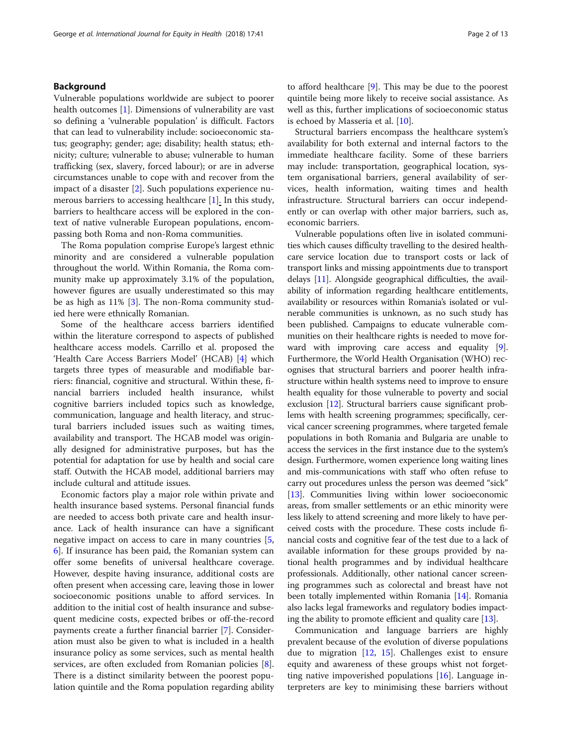# Background

Vulnerable populations worldwide are subject to poorer health outcomes [\[1](#page-12-0)]. Dimensions of vulnerability are vast so defining a 'vulnerable population' is difficult. Factors that can lead to vulnerability include: socioeconomic status; geography; gender; age; disability; health status; ethnicity; culture; vulnerable to abuse; vulnerable to human trafficking (sex, slavery, forced labour); or are in adverse circumstances unable to cope with and recover from the impact of a disaster [[2\]](#page-12-0). Such populations experience numerous barriers to accessing healthcare [\[1](#page-12-0)]. In this study, barriers to healthcare access will be explored in the context of native vulnerable European populations, encompassing both Roma and non-Roma communities.

The Roma population comprise Europe's largest ethnic minority and are considered a vulnerable population throughout the world. Within Romania, the Roma community make up approximately 3.1% of the population, however figures are usually underestimated so this may be as high as 11% [[3\]](#page-12-0). The non-Roma community studied here were ethnically Romanian.

Some of the healthcare access barriers identified within the literature correspond to aspects of published healthcare access models. Carrillo et al. proposed the 'Health Care Access Barriers Model' (HCAB) [\[4\]](#page-12-0) which targets three types of measurable and modifiable barriers: financial, cognitive and structural. Within these, financial barriers included health insurance, whilst cognitive barriers included topics such as knowledge, communication, language and health literacy, and structural barriers included issues such as waiting times, availability and transport. The HCAB model was originally designed for administrative purposes, but has the potential for adaptation for use by health and social care staff. Outwith the HCAB model, additional barriers may include cultural and attitude issues.

Economic factors play a major role within private and health insurance based systems. Personal financial funds are needed to access both private care and health insurance. Lack of health insurance can have a significant negative impact on access to care in many countries [\[5](#page-12-0), [6\]](#page-12-0). If insurance has been paid, the Romanian system can offer some benefits of universal healthcare coverage. However, despite having insurance, additional costs are often present when accessing care, leaving those in lower socioeconomic positions unable to afford services. In addition to the initial cost of health insurance and subsequent medicine costs, expected bribes or off-the-record payments create a further financial barrier [\[7\]](#page-12-0). Consideration must also be given to what is included in a health insurance policy as some services, such as mental health services, are often excluded from Romanian policies [\[8](#page-12-0)]. There is a distinct similarity between the poorest population quintile and the Roma population regarding ability to afford healthcare [[9\]](#page-12-0). This may be due to the poorest quintile being more likely to receive social assistance. As well as this, further implications of socioeconomic status is echoed by Masseria et al. [\[10](#page-12-0)].

Structural barriers encompass the healthcare system's availability for both external and internal factors to the immediate healthcare facility. Some of these barriers may include: transportation, geographical location, system organisational barriers, general availability of services, health information, waiting times and health infrastructure. Structural barriers can occur independently or can overlap with other major barriers, such as, economic barriers.

Vulnerable populations often live in isolated communities which causes difficulty travelling to the desired healthcare service location due to transport costs or lack of transport links and missing appointments due to transport delays [\[11\]](#page-12-0). Alongside geographical difficulties, the availability of information regarding healthcare entitlements, availability or resources within Romania's isolated or vulnerable communities is unknown, as no such study has been published. Campaigns to educate vulnerable communities on their healthcare rights is needed to move for-ward with improving care access and equality [[9](#page-12-0)]. Furthermore, the World Health Organisation (WHO) recognises that structural barriers and poorer health infrastructure within health systems need to improve to ensure health equality for those vulnerable to poverty and social exclusion [\[12\]](#page-12-0). Structural barriers cause significant problems with health screening programmes; specifically, cervical cancer screening programmes, where targeted female populations in both Romania and Bulgaria are unable to access the services in the first instance due to the system's design. Furthermore, women experience long waiting lines and mis-communications with staff who often refuse to carry out procedures unless the person was deemed "sick" [[13](#page-12-0)]. Communities living within lower socioeconomic areas, from smaller settlements or an ethic minority were less likely to attend screening and more likely to have perceived costs with the procedure. These costs include financial costs and cognitive fear of the test due to a lack of available information for these groups provided by national health programmes and by individual healthcare professionals. Additionally, other national cancer screening programmes such as colorectal and breast have not been totally implemented within Romania [\[14](#page-12-0)]. Romania also lacks legal frameworks and regulatory bodies impacting the ability to promote efficient and quality care [\[13\]](#page-12-0).

Communication and language barriers are highly prevalent because of the evolution of diverse populations due to migration  $[12, 15]$  $[12, 15]$  $[12, 15]$  $[12, 15]$ . Challenges exist to ensure equity and awareness of these groups whist not forgetting native impoverished populations [[16](#page-12-0)]. Language interpreters are key to minimising these barriers without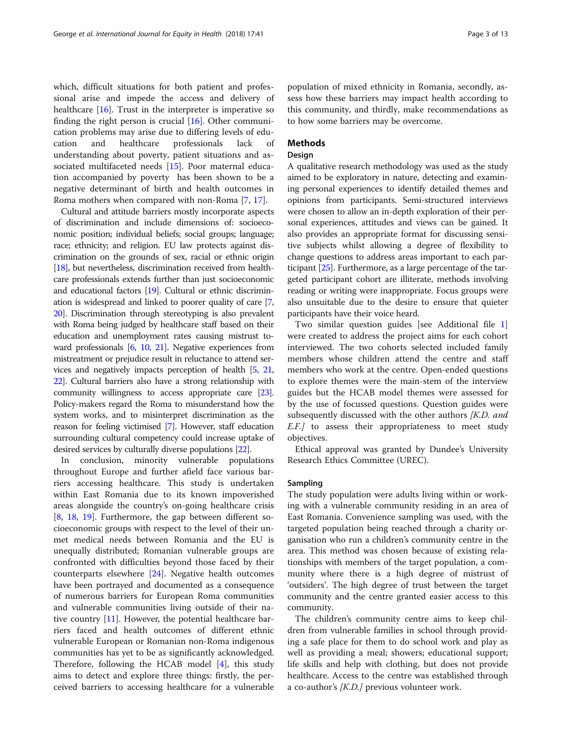which, difficult situations for both patient and professional arise and impede the access and delivery of healthcare [\[16](#page-12-0)]. Trust in the interpreter is imperative so finding the right person is crucial  $[16]$  $[16]$ . Other communication problems may arise due to differing levels of education and healthcare professionals lack of understanding about poverty, patient situations and associated multifaceted needs [[15](#page-12-0)]. Poor maternal education accompanied by poverty has been shown to be a negative determinant of birth and health outcomes in Roma mothers when compared with non-Roma [[7,](#page-12-0) [17](#page-12-0)].

Cultural and attitude barriers mostly incorporate aspects of discrimination and include dimensions of: socioeconomic position; individual beliefs; social groups; language; race; ethnicity; and religion. EU law protects against discrimination on the grounds of sex, racial or ethnic origin [[18](#page-12-0)], but nevertheless, discrimination received from healthcare professionals extends further than just socioeconomic and educational factors [\[19\]](#page-12-0). Cultural or ethnic discrimination is widespread and linked to poorer quality of care [[7](#page-12-0), [20](#page-12-0)]. Discrimination through stereotyping is also prevalent with Roma being judged by healthcare staff based on their education and unemployment rates causing mistrust toward professionals  $[6, 10, 21]$  $[6, 10, 21]$  $[6, 10, 21]$  $[6, 10, 21]$  $[6, 10, 21]$ . Negative experiences from mistreatment or prejudice result in reluctance to attend services and negatively impacts perception of health [[5](#page-12-0), [21](#page-12-0), [22](#page-12-0)]. Cultural barriers also have a strong relationship with community willingness to access appropriate care [\[23](#page-12-0)]. Policy-makers regard the Roma to misunderstand how the system works, and to misinterpret discrimination as the reason for feeling victimised [[7](#page-12-0)]. However, staff education surrounding cultural competency could increase uptake of desired services by culturally diverse populations [\[22\]](#page-12-0).

In conclusion, minority vulnerable populations throughout Europe and further afield face various barriers accessing healthcare. This study is undertaken within East Romania due to its known impoverished areas alongside the country's on-going healthcare crisis [[8,](#page-12-0) [18](#page-12-0), [19](#page-12-0)]. Furthermore, the gap between different socioeconomic groups with respect to the level of their unmet medical needs between Romania and the EU is unequally distributed; Romanian vulnerable groups are confronted with difficulties beyond those faced by their counterparts elsewhere [[24\]](#page-12-0). Negative health outcomes have been portrayed and documented as a consequence of numerous barriers for European Roma communities and vulnerable communities living outside of their native country [[11\]](#page-12-0). However, the potential healthcare barriers faced and health outcomes of different ethnic vulnerable European or Romanian non-Roma indigenous communities has yet to be as significantly acknowledged. Therefore, following the HCAB model [[4\]](#page-12-0), this study aims to detect and explore three things: firstly, the perceived barriers to accessing healthcare for a vulnerable population of mixed ethnicity in Romania, secondly, assess how these barriers may impact health according to this community, and thirdly, make recommendations as to how some barriers may be overcome.

# **Methods**

# Design

A qualitative research methodology was used as the study aimed to be exploratory in nature, detecting and examining personal experiences to identify detailed themes and opinions from participants. Semi-structured interviews were chosen to allow an in-depth exploration of their personal experiences, attitudes and views can be gained. It also provides an appropriate format for discussing sensitive subjects whilst allowing a degree of flexibility to change questions to address areas important to each participant [\[25](#page-12-0)]. Furthermore, as a large percentage of the targeted participant cohort are illiterate, methods involving reading or writing were inappropriate. Focus groups were also unsuitable due to the desire to ensure that quieter participants have their voice heard.

Two similar question guides [see Additional file [1](#page-11-0)] were created to address the project aims for each cohort interviewed. The two cohorts selected included family members whose children attend the centre and staff members who work at the centre. Open-ended questions to explore themes were the main-stem of the interview guides but the HCAB model themes were assessed for by the use of focussed questions. Question guides were subsequently discussed with the other authors [K.D. and E.F.] to assess their appropriateness to meet study objectives.

Ethical approval was granted by Dundee's University Research Ethics Committee (UREC).

# Sampling

The study population were adults living within or working with a vulnerable community residing in an area of East Romania. Convenience sampling was used, with the targeted population being reached through a charity organisation who run a children's community centre in the area. This method was chosen because of existing relationships with members of the target population, a community where there is a high degree of mistrust of 'outsiders'. The high degree of trust between the target community and the centre granted easier access to this community.

The children's community centre aims to keep children from vulnerable families in school through providing a safe place for them to do school work and play as well as providing a meal; showers; educational support; life skills and help with clothing, but does not provide healthcare. Access to the centre was established through a co-author's [K.D.] previous volunteer work.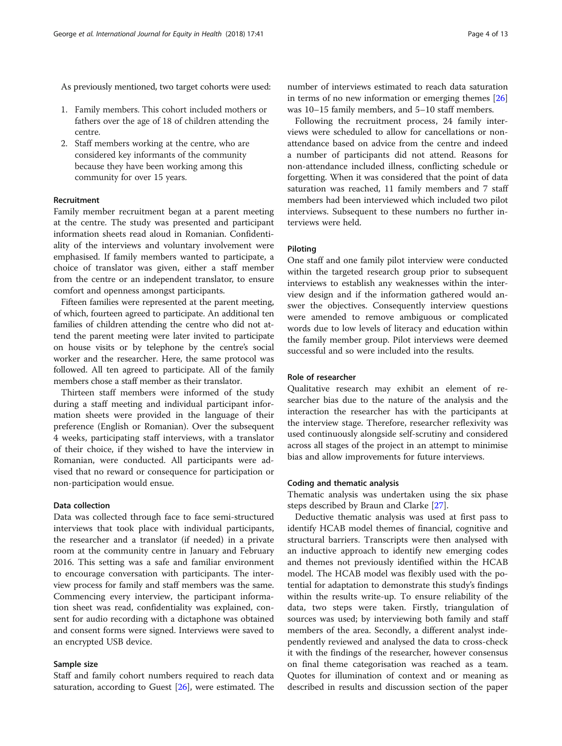As previously mentioned, two target cohorts were used:

- 1. Family members. This cohort included mothers or fathers over the age of 18 of children attending the centre.
- 2. Staff members working at the centre, who are considered key informants of the community because they have been working among this community for over 15 years.

### Recruitment

Family member recruitment began at a parent meeting at the centre. The study was presented and participant information sheets read aloud in Romanian. Confidentiality of the interviews and voluntary involvement were emphasised. If family members wanted to participate, a choice of translator was given, either a staff member from the centre or an independent translator, to ensure comfort and openness amongst participants.

Fifteen families were represented at the parent meeting, of which, fourteen agreed to participate. An additional ten families of children attending the centre who did not attend the parent meeting were later invited to participate on house visits or by telephone by the centre's social worker and the researcher. Here, the same protocol was followed. All ten agreed to participate. All of the family members chose a staff member as their translator.

Thirteen staff members were informed of the study during a staff meeting and individual participant information sheets were provided in the language of their preference (English or Romanian). Over the subsequent 4 weeks, participating staff interviews, with a translator of their choice, if they wished to have the interview in Romanian, were conducted. All participants were advised that no reward or consequence for participation or non-participation would ensue.

## Data collection

Data was collected through face to face semi-structured interviews that took place with individual participants, the researcher and a translator (if needed) in a private room at the community centre in January and February 2016. This setting was a safe and familiar environment to encourage conversation with participants. The interview process for family and staff members was the same. Commencing every interview, the participant information sheet was read, confidentiality was explained, consent for audio recording with a dictaphone was obtained and consent forms were signed. Interviews were saved to an encrypted USB device.

# Sample size

Staff and family cohort numbers required to reach data saturation, according to Guest [[26](#page-12-0)], were estimated. The

number of interviews estimated to reach data saturation in terms of no new information or emerging themes [[26](#page-12-0)] was 10–15 family members, and 5–10 staff members.

Following the recruitment process, 24 family interviews were scheduled to allow for cancellations or nonattendance based on advice from the centre and indeed a number of participants did not attend. Reasons for non-attendance included illness, conflicting schedule or forgetting. When it was considered that the point of data saturation was reached, 11 family members and 7 staff members had been interviewed which included two pilot interviews. Subsequent to these numbers no further interviews were held.

### Piloting

One staff and one family pilot interview were conducted within the targeted research group prior to subsequent interviews to establish any weaknesses within the interview design and if the information gathered would answer the objectives. Consequently interview questions were amended to remove ambiguous or complicated words due to low levels of literacy and education within the family member group. Pilot interviews were deemed successful and so were included into the results.

# Role of researcher

Qualitative research may exhibit an element of researcher bias due to the nature of the analysis and the interaction the researcher has with the participants at the interview stage. Therefore, researcher reflexivity was used continuously alongside self-scrutiny and considered across all stages of the project in an attempt to minimise bias and allow improvements for future interviews.

# Coding and thematic analysis

Thematic analysis was undertaken using the six phase steps described by Braun and Clarke [\[27](#page-12-0)].

Deductive thematic analysis was used at first pass to identify HCAB model themes of financial, cognitive and structural barriers. Transcripts were then analysed with an inductive approach to identify new emerging codes and themes not previously identified within the HCAB model. The HCAB model was flexibly used with the potential for adaptation to demonstrate this study's findings within the results write-up. To ensure reliability of the data, two steps were taken. Firstly, triangulation of sources was used; by interviewing both family and staff members of the area. Secondly, a different analyst independently reviewed and analysed the data to cross-check it with the findings of the researcher, however consensus on final theme categorisation was reached as a team. Quotes for illumination of context and or meaning as described in results and discussion section of the paper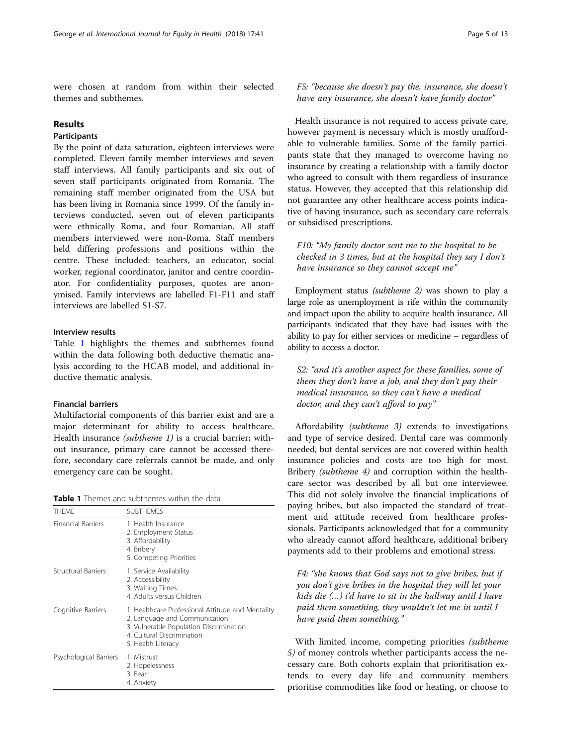were chosen at random from within their selected themes and subthemes.

# Results

# **Participants**

By the point of data saturation, eighteen interviews were completed. Eleven family member interviews and seven staff interviews. All family participants and six out of seven staff participants originated from Romania. The remaining staff member originated from the USA but has been living in Romania since 1999. Of the family interviews conducted, seven out of eleven participants were ethnically Roma, and four Romanian. All staff members interviewed were non-Roma. Staff members held differing professions and positions within the centre. These included: teachers, an educator, social worker, regional coordinator, janitor and centre coordinator. For confidentiality purposes, quotes are anonymised. Family interviews are labelled F1-F11 and staff interviews are labelled S1-S7.

# Interview results

Table 1 highlights the themes and subthemes found within the data following both deductive thematic analysis according to the HCAB model, and additional inductive thematic analysis.

# Financial barriers

Multifactorial components of this barrier exist and are a major determinant for ability to access healthcare. Health insurance *(subtheme 1)* is a crucial barrier; without insurance, primary care cannot be accessed therefore, secondary care referrals cannot be made, and only emergency care can be sought.

Table 1 Themes and subthemes within the data

| <b>THEME</b>               | <b>SUBTHEMES</b>                                                                                                                                                                  |
|----------------------------|-----------------------------------------------------------------------------------------------------------------------------------------------------------------------------------|
| <b>Financial Barriers</b>  | 1. Health Insurance<br>2. Employment Status<br>3. Affordability<br>4. Bribery<br>5. Competing Priorities                                                                          |
| <b>Structural Barriers</b> | 1. Service Availability<br>2. Accessibility<br>3. Waiting Times<br>4. Adults versus Children                                                                                      |
| Cognitive Barriers         | 1. Healthcare Professional Attitude and Mentality<br>2. Language and Communication<br>3. Vulnerable Population Discrimination<br>4. Cultural Discrimination<br>5. Health Literacy |
| Psychological Barriers     | 1. Mistrust<br>2. Hopelessness<br>3. Fear<br>4. Anxiety                                                                                                                           |

F5: "because she doesn't pay the, insurance, she doesn't have any insurance, she doesn't have family doctor"

Health insurance is not required to access private care, however payment is necessary which is mostly unaffordable to vulnerable families. Some of the family participants state that they managed to overcome having no insurance by creating a relationship with a family doctor who agreed to consult with them regardless of insurance status. However, they accepted that this relationship did not guarantee any other healthcare access points indicative of having insurance, such as secondary care referrals or subsidised prescriptions.

F10: "My family doctor sent me to the hospital to be checked in 3 times, but at the hospital they say I don't have insurance so they cannot accept me"

Employment status (subtheme 2) was shown to play a large role as unemployment is rife within the community and impact upon the ability to acquire health insurance. All participants indicated that they have had issues with the ability to pay for either services or medicine – regardless of ability to access a doctor.

S2: "and it's another aspect for these families, some of them they don't have a job, and they don't pay their medical insurance, so they can't have a medical doctor, and they can't afford to pay"

Affordability (subtheme 3) extends to investigations and type of service desired. Dental care was commonly needed, but dental services are not covered within health insurance policies and costs are too high for most. Bribery (subtheme 4) and corruption within the healthcare sector was described by all but one interviewee. This did not solely involve the financial implications of paying bribes, but also impacted the standard of treatment and attitude received from healthcare professionals. Participants acknowledged that for a community who already cannot afford healthcare, additional bribery payments add to their problems and emotional stress.

F4: "she knows that God says not to give bribes, but if you don't give bribes in the hospital they will let your kids die (…) i'd have to sit in the hallway until I have paid them something, they wouldn't let me in until I have paid them something."

With limited income, competing priorities (subtheme 5) of money controls whether participants access the necessary care. Both cohorts explain that prioritisation extends to every day life and community members prioritise commodities like food or heating, or choose to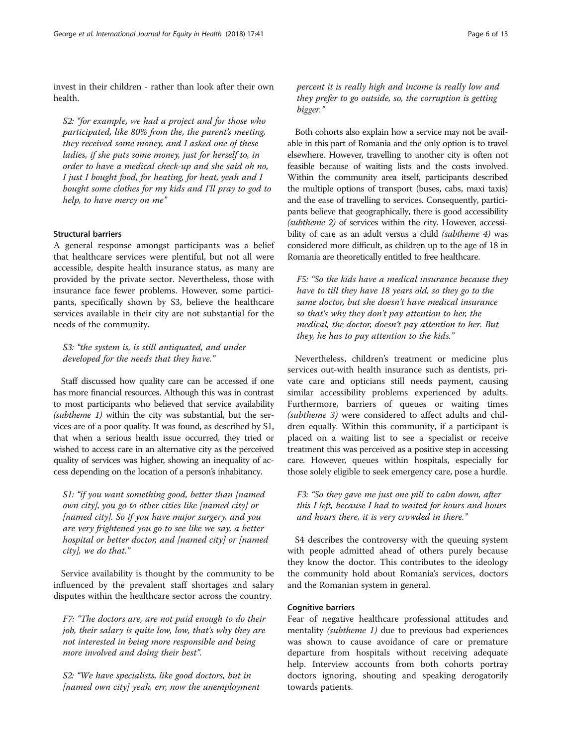invest in their children - rather than look after their own health.

S2: "for example, we had a project and for those who participated, like 80% from the, the parent's meeting, they received some money, and I asked one of these ladies, if she puts some money, just for herself to, in order to have a medical check-up and she said oh no, I just I bought food, for heating, for heat, yeah and I bought some clothes for my kids and I'll pray to god to help, to have mercy on me"

# Structural barriers

A general response amongst participants was a belief that healthcare services were plentiful, but not all were accessible, despite health insurance status, as many are provided by the private sector. Nevertheless, those with insurance face fewer problems. However, some participants, specifically shown by S3, believe the healthcare services available in their city are not substantial for the needs of the community.

S3: "the system is, is still antiquated, and under developed for the needs that they have."

Staff discussed how quality care can be accessed if one has more financial resources. Although this was in contrast to most participants who believed that service availability (subtheme 1) within the city was substantial, but the services are of a poor quality. It was found, as described by S1, that when a serious health issue occurred, they tried or wished to access care in an alternative city as the perceived quality of services was higher, showing an inequality of access depending on the location of a person's inhabitancy.

S1: "if you want something good, better than [named own city], you go to other cities like [named city] or [named city]. So if you have major surgery, and you are very frightened you go to see like we say, a better hospital or better doctor, and [named city] or [named city], we do that."

Service availability is thought by the community to be influenced by the prevalent staff shortages and salary disputes within the healthcare sector across the country.

F7: "The doctors are, are not paid enough to do their job, their salary is quite low, low, that's why they are not interested in being more responsible and being more involved and doing their best".

S2: "We have specialists, like good doctors, but in [named own city] yeah, err, now the unemployment percent it is really high and income is really low and they prefer to go outside, so, the corruption is getting bigger."

Both cohorts also explain how a service may not be available in this part of Romania and the only option is to travel elsewhere. However, travelling to another city is often not feasible because of waiting lists and the costs involved. Within the community area itself, participants described the multiple options of transport (buses, cabs, maxi taxis) and the ease of travelling to services. Consequently, participants believe that geographically, there is good accessibility (subtheme 2) of services within the city. However, accessibility of care as an adult versus a child *(subtheme 4)* was considered more difficult, as children up to the age of 18 in Romania are theoretically entitled to free healthcare.

F5: "So the kids have a medical insurance because they have to till they have 18 years old, so they go to the same doctor, but she doesn't have medical insurance so that's why they don't pay attention to her, the medical, the doctor, doesn't pay attention to her. But they, he has to pay attention to the kids."

Nevertheless, children's treatment or medicine plus services out-with health insurance such as dentists, private care and opticians still needs payment, causing similar accessibility problems experienced by adults. Furthermore, barriers of queues or waiting times (subtheme 3) were considered to affect adults and children equally. Within this community, if a participant is placed on a waiting list to see a specialist or receive treatment this was perceived as a positive step in accessing care. However, queues within hospitals, especially for those solely eligible to seek emergency care, pose a hurdle.

F3: "So they gave me just one pill to calm down, after this I left, because I had to waited for hours and hours and hours there, it is very crowded in there."

S4 describes the controversy with the queuing system with people admitted ahead of others purely because they know the doctor. This contributes to the ideology the community hold about Romania's services, doctors and the Romanian system in general.

# Cognitive barriers

Fear of negative healthcare professional attitudes and mentality *(subtheme 1)* due to previous bad experiences was shown to cause avoidance of care or premature departure from hospitals without receiving adequate help. Interview accounts from both cohorts portray doctors ignoring, shouting and speaking derogatorily towards patients.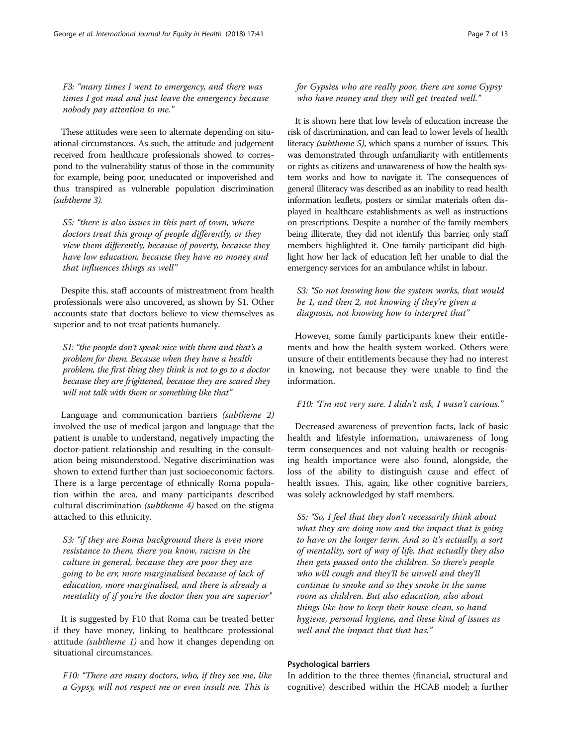F3: "many times I went to emergency, and there was times I got mad and just leave the emergency because nobody pay attention to me."

These attitudes were seen to alternate depending on situational circumstances. As such, the attitude and judgement received from healthcare professionals showed to correspond to the vulnerability status of those in the community for example, being poor, uneducated or impoverished and thus transpired as vulnerable population discrimination (subtheme 3).

S5: "there is also issues in this part of town, where doctors treat this group of people differently, or they view them differently, because of poverty, because they have low education, because they have no money and that influences things as well"

Despite this, staff accounts of mistreatment from health professionals were also uncovered, as shown by S1. Other accounts state that doctors believe to view themselves as superior and to not treat patients humanely.

S1: "the people don't speak nice with them and that's a problem for them. Because when they have a health problem, the first thing they think is not to go to a doctor because they are frightened, because they are scared they will not talk with them or something like that"

Language and communication barriers (subtheme 2) involved the use of medical jargon and language that the patient is unable to understand, negatively impacting the doctor-patient relationship and resulting in the consultation being misunderstood. Negative discrimination was shown to extend further than just socioeconomic factors. There is a large percentage of ethnically Roma population within the area, and many participants described cultural discrimination (subtheme 4) based on the stigma attached to this ethnicity.

S3: "if they are Roma background there is even more resistance to them, there you know, racism in the culture in general, because they are poor they are going to be err, more marginalised because of lack of education, more marginalised, and there is already a mentality of if you're the doctor then you are superior"

It is suggested by F10 that Roma can be treated better if they have money, linking to healthcare professional attitude (subtheme 1) and how it changes depending on situational circumstances.

F10: "There are many doctors, who, if they see me, like a Gypsy, will not respect me or even insult me. This is

# for Gypsies who are really poor, there are some Gypsy who have money and they will get treated well."

It is shown here that low levels of education increase the risk of discrimination, and can lead to lower levels of health literacy (subtheme 5), which spans a number of issues. This was demonstrated through unfamiliarity with entitlements or rights as citizens and unawareness of how the health system works and how to navigate it. The consequences of general illiteracy was described as an inability to read health information leaflets, posters or similar materials often displayed in healthcare establishments as well as instructions on prescriptions. Despite a number of the family members being illiterate, they did not identify this barrier, only staff members highlighted it. One family participant did highlight how her lack of education left her unable to dial the emergency services for an ambulance whilst in labour.

S3: "So not knowing how the system works, that would be 1, and then 2, not knowing if they're given a diagnosis, not knowing how to interpret that"

However, some family participants knew their entitlements and how the health system worked. Others were unsure of their entitlements because they had no interest in knowing, not because they were unable to find the information.

### F10: "I'm not very sure. I didn't ask, I wasn't curious."

Decreased awareness of prevention facts, lack of basic health and lifestyle information, unawareness of long term consequences and not valuing health or recognising health importance were also found, alongside, the loss of the ability to distinguish cause and effect of health issues. This, again, like other cognitive barriers, was solely acknowledged by staff members.

S5: "So, I feel that they don't necessarily think about what they are doing now and the impact that is going to have on the longer term. And so it's actually, a sort of mentality, sort of way of life, that actually they also then gets passed onto the children. So there's people who will cough and they'll be unwell and they'll continue to smoke and so they smoke in the same room as children. But also education, also about things like how to keep their house clean, so hand hygiene, personal hygiene, and these kind of issues as well and the impact that that has."

### Psychological barriers

In addition to the three themes (financial, structural and cognitive) described within the HCAB model; a further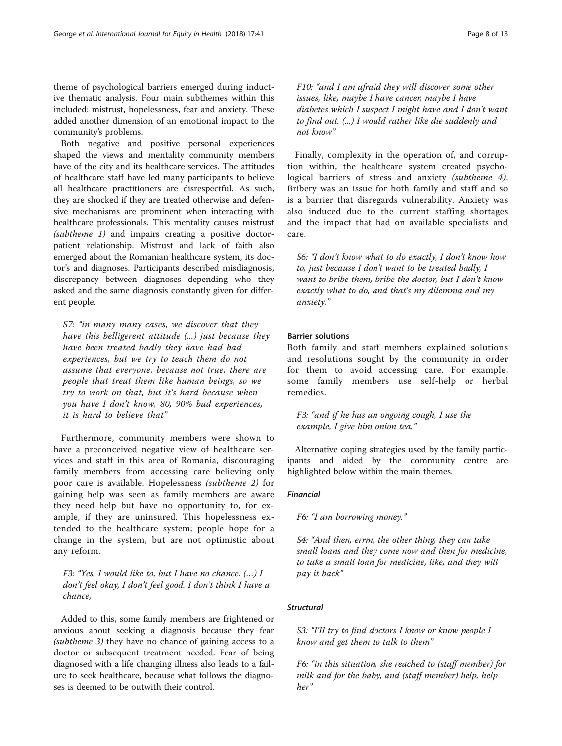theme of psychological barriers emerged during inductive thematic analysis. Four main subthemes within this included: mistrust, hopelessness, fear and anxiety. These added another dimension of an emotional impact to the community's problems.

Both negative and positive personal experiences shaped the views and mentality community members have of the city and its healthcare services. The attitudes of healthcare staff have led many participants to believe all healthcare practitioners are disrespectful. As such, they are shocked if they are treated otherwise and defensive mechanisms are prominent when interacting with healthcare professionals. This mentality causes mistrust (subtheme 1) and impairs creating a positive doctorpatient relationship. Mistrust and lack of faith also emerged about the Romanian healthcare system, its doctor's and diagnoses. Participants described misdiagnosis, discrepancy between diagnoses depending who they asked and the same diagnosis constantly given for different people.

S7: "in many many cases, we discover that they have this belligerent attitude (...) just because they have been treated badly they have had bad experiences, but we try to teach them do not assume that everyone, because not true, there are people that treat them like human beings, so we try to work on that, but it's hard because when you have I don't know, 80, 90% bad experiences, it is hard to believe that"

Furthermore, community members were shown to have a preconceived negative view of healthcare services and staff in this area of Romania, discouraging family members from accessing care believing only poor care is available. Hopelessness (subtheme 2) for gaining help was seen as family members are aware they need help but have no opportunity to, for example, if they are uninsured. This hopelessness extended to the healthcare system; people hope for a change in the system, but are not optimistic about any reform.

F3: "Yes, I would like to, but I have no chance.  $(...) I$ don't feel okay, I don't feel good. I don't think I have a chance,

Added to this, some family members are frightened or anxious about seeking a diagnosis because they fear (subtheme 3) they have no chance of gaining access to a doctor or subsequent treatment needed. Fear of being diagnosed with a life changing illness also leads to a failure to seek healthcare, because what follows the diagnoses is deemed to be outwith their control.

F10: "and I am afraid they will discover some other issues, like, maybe I have cancer, maybe I have diabetes which I suspect I might have and I don't want to find out. (...) I would rather like die suddenly and not know"

Finally, complexity in the operation of, and corruption within, the healthcare system created psychological barriers of stress and anxiety (subtheme 4). Bribery was an issue for both family and staff and so is a barrier that disregards vulnerability. Anxiety was also induced due to the current staffing shortages and the impact that had on available specialists and care.

S6: "I don't know what to do exactly, I don't know how to, just because I don't want to be treated badly, I want to bribe them, bribe the doctor, but I don't know exactly what to do, and that's my dilemma and my anxiety."

# Barrier solutions

Both family and staff members explained solutions and resolutions sought by the community in order for them to avoid accessing care. For example, some family members use self-help or herbal remedies.

F3: "and if he has an ongoing cough, I use the example, I give him onion tea."

Alternative coping strategies used by the family participants and aided by the community centre are highlighted below within the main themes.

### Financial

F6: "I am borrowing money."

S4: "And then, errm, the other thing, they can take small loans and they come now and then for medicine, to take a small loan for medicine, like, and they will pay it back"

# **Structural**

S3: "I'II try to find doctors I know or know people I know and get them to talk to them"

F6: "in this situation, she reached to (staff member) for milk and for the baby, and (staff member) help, help her"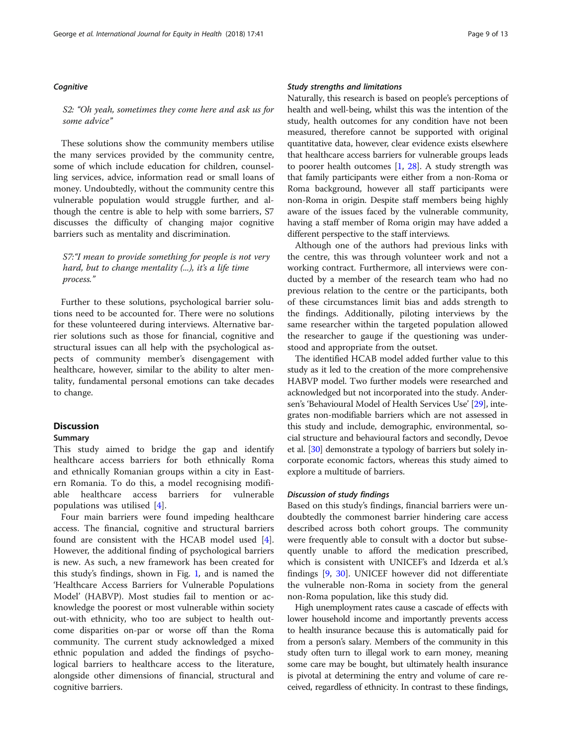# **Cognitive**

S2: "Oh yeah, sometimes they come here and ask us for some advice"

These solutions show the community members utilise the many services provided by the community centre, some of which include education for children, counselling services, advice, information read or small loans of money. Undoubtedly, without the community centre this vulnerable population would struggle further, and although the centre is able to help with some barriers, S7 discusses the difficulty of changing major cognitive barriers such as mentality and discrimination.

S7:"I mean to provide something for people is not very hard, but to change mentality (...), it's a life time process."

Further to these solutions, psychological barrier solutions need to be accounted for. There were no solutions for these volunteered during interviews. Alternative barrier solutions such as those for financial, cognitive and structural issues can all help with the psychological aspects of community member's disengagement with healthcare, however, similar to the ability to alter mentality, fundamental personal emotions can take decades to change.

# Discussion

### Summary

This study aimed to bridge the gap and identify healthcare access barriers for both ethnically Roma and ethnically Romanian groups within a city in Eastern Romania. To do this, a model recognising modifiable healthcare access barriers for vulnerable populations was utilised [\[4](#page-12-0)].

Four main barriers were found impeding healthcare access. The financial, cognitive and structural barriers found are consistent with the HCAB model used [\[4](#page-12-0)]. However, the additional finding of psychological barriers is new. As such, a new framework has been created for this study's findings, shown in Fig. [1](#page-9-0), and is named the 'Healthcare Access Barriers for Vulnerable Populations Model' (HABVP). Most studies fail to mention or acknowledge the poorest or most vulnerable within society out-with ethnicity, who too are subject to health outcome disparities on-par or worse off than the Roma community. The current study acknowledged a mixed ethnic population and added the findings of psychological barriers to healthcare access to the literature, alongside other dimensions of financial, structural and cognitive barriers.

# Study strengths and limitations

Naturally, this research is based on people's perceptions of health and well-being, whilst this was the intention of the study, health outcomes for any condition have not been measured, therefore cannot be supported with original quantitative data, however, clear evidence exists elsewhere that healthcare access barriers for vulnerable groups leads to poorer health outcomes [\[1](#page-12-0), [28\]](#page-12-0). A study strength was that family participants were either from a non-Roma or Roma background, however all staff participants were non-Roma in origin. Despite staff members being highly aware of the issues faced by the vulnerable community, having a staff member of Roma origin may have added a different perspective to the staff interviews.

Although one of the authors had previous links with the centre, this was through volunteer work and not a working contract. Furthermore, all interviews were conducted by a member of the research team who had no previous relation to the centre or the participants, both of these circumstances limit bias and adds strength to the findings. Additionally, piloting interviews by the same researcher within the targeted population allowed the researcher to gauge if the questioning was understood and appropriate from the outset.

The identified HCAB model added further value to this study as it led to the creation of the more comprehensive HABVP model. Two further models were researched and acknowledged but not incorporated into the study. Andersen's 'Behavioural Model of Health Services Use' [[29](#page-12-0)], integrates non-modifiable barriers which are not assessed in this study and include, demographic, environmental, social structure and behavioural factors and secondly, Devoe et al. [[30](#page-12-0)] demonstrate a typology of barriers but solely incorporate economic factors, whereas this study aimed to explore a multitude of barriers.

## Discussion of study findings

Based on this study's findings, financial barriers were undoubtedly the commonest barrier hindering care access described across both cohort groups. The community were frequently able to consult with a doctor but subsequently unable to afford the medication prescribed, which is consistent with UNICEF's and Idzerda et al.'s findings [[9,](#page-12-0) [30](#page-12-0)]. UNICEF however did not differentiate the vulnerable non-Roma in society from the general non-Roma population, like this study did.

High unemployment rates cause a cascade of effects with lower household income and importantly prevents access to health insurance because this is automatically paid for from a person's salary. Members of the community in this study often turn to illegal work to earn money, meaning some care may be bought, but ultimately health insurance is pivotal at determining the entry and volume of care received, regardless of ethnicity. In contrast to these findings,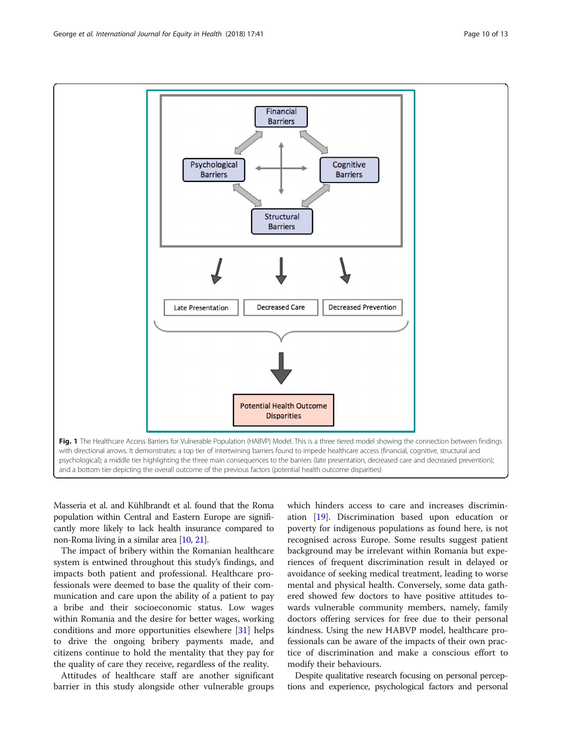Masseria et al. and Kühlbrandt et al. found that the Roma population within Central and Eastern Europe are significantly more likely to lack health insurance compared to non-Roma living in a similar area [\[10](#page-12-0), [21](#page-12-0)].

The impact of bribery within the Romanian healthcare system is entwined throughout this study's findings, and impacts both patient and professional. Healthcare professionals were deemed to base the quality of their communication and care upon the ability of a patient to pay a bribe and their socioeconomic status. Low wages within Romania and the desire for better wages, working conditions and more opportunities elsewhere [[31](#page-12-0)] helps to drive the ongoing bribery payments made, and citizens continue to hold the mentality that they pay for the quality of care they receive, regardless of the reality.

Attitudes of healthcare staff are another significant barrier in this study alongside other vulnerable groups which hinders access to care and increases discrimination [\[19](#page-12-0)]. Discrimination based upon education or poverty for indigenous populations as found here, is not recognised across Europe. Some results suggest patient background may be irrelevant within Romania but experiences of frequent discrimination result in delayed or avoidance of seeking medical treatment, leading to worse mental and physical health. Conversely, some data gathered showed few doctors to have positive attitudes towards vulnerable community members, namely, family doctors offering services for free due to their personal kindness. Using the new HABVP model, healthcare professionals can be aware of the impacts of their own practice of discrimination and make a conscious effort to modify their behaviours.

Despite qualitative research focusing on personal perceptions and experience, psychological factors and personal

<span id="page-9-0"></span>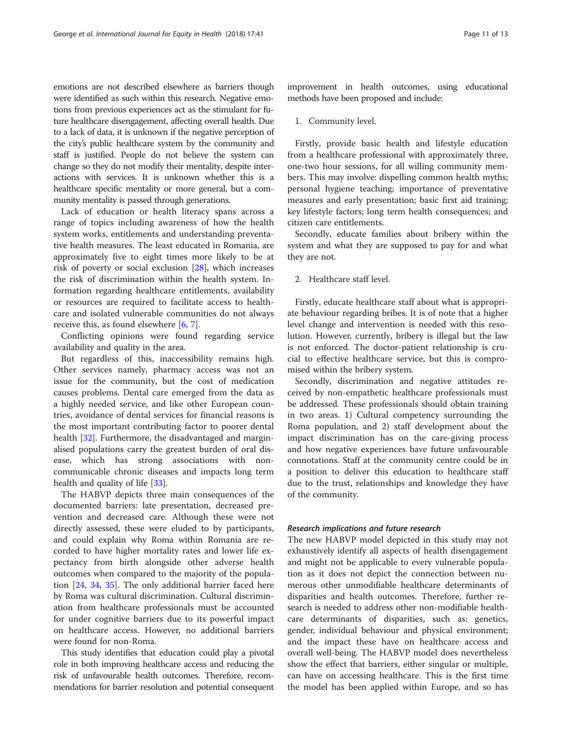emotions are not described elsewhere as barriers though were identified as such within this research. Negative emotions from previous experiences act as the stimulant for future healthcare disengagement, affecting overall health. Due to a lack of data, it is unknown if the negative perception of the city's public healthcare system by the community and staff is justified. People do not believe the system can change so they do not modify their mentality, despite interactions with services. It is unknown whether this is a healthcare specific mentality or more general, but a community mentality is passed through generations.

Lack of education or health literacy spans across a range of topics including awareness of how the health system works, entitlements and understanding preventative health measures. The least educated in Romania, are approximately five to eight times more likely to be at risk of poverty or social exclusion [\[28](#page-12-0)], which increases the risk of discrimination within the health system. Information regarding healthcare entitlements, availability or resources are required to facilitate access to healthcare and isolated vulnerable communities do not always receive this, as found elsewhere [\[6](#page-12-0), [7](#page-12-0)].

Conflicting opinions were found regarding service availability and quality in the area.

But regardless of this, inaccessibility remains high. Other services namely, pharmacy access was not an issue for the community, but the cost of medication causes problems. Dental care emerged from the data as a highly needed service, and like other European countries, avoidance of dental services for financial reasons is the most important contributing factor to poorer dental health [\[32\]](#page-12-0). Furthermore, the disadvantaged and marginalised populations carry the greatest burden of oral disease, which has strong associations with noncommunicable chronic diseases and impacts long term health and quality of life [[33\]](#page-12-0).

The HABVP depicts three main consequences of the documented barriers: late presentation, decreased prevention and decreased care. Although these were not directly assessed, these were eluded to by participants, and could explain why Roma within Romania are recorded to have higher mortality rates and lower life expectancy from birth alongside other adverse health outcomes when compared to the majority of the population [[24,](#page-12-0) [34,](#page-12-0) [35](#page-12-0)]. The only additional barrier faced here by Roma was cultural discrimination. Cultural discrimination from healthcare professionals must be accounted for under cognitive barriers due to its powerful impact on healthcare access. However, no additional barriers were found for non-Roma.

This study identifies that education could play a pivotal role in both improving healthcare access and reducing the risk of unfavourable health outcomes. Therefore, recommendations for barrier resolution and potential consequent improvement in health outcomes, using educational methods have been proposed and include:

1. Community level.

Firstly, provide basic health and lifestyle education from a healthcare professional with approximately three, one-two hour sessions, for all willing community members. This may involve: dispelling common health myths; personal hygiene teaching; importance of preventative measures and early presentation; basic first aid training; key lifestyle factors; long term health consequences; and citizen care entitlements.

Secondly, educate families about bribery within the system and what they are supposed to pay for and what they are not.

### 2. Healthcare staff level.

Firstly, educate healthcare staff about what is appropriate behaviour regarding bribes. It is of note that a higher level change and intervention is needed with this resolution. However, currently, bribery is illegal but the law is not enforced. The doctor-patient relationship is crucial to effective healthcare service, but this is compromised within the bribery system.

Secondly, discrimination and negative attitudes received by non-empathetic healthcare professionals must be addressed. These professionals should obtain training in two areas. 1) Cultural competency surrounding the Roma population, and 2) staff development about the impact discrimination has on the care-giving process and how negative experiences have future unfavourable connotations. Staff at the community centre could be in a position to deliver this education to healthcare staff due to the trust, relationships and knowledge they have of the community.

#### Research implications and future research

The new HABVP model depicted in this study may not exhaustively identify all aspects of health disengagement and might not be applicable to every vulnerable population as it does not depict the connection between numerous other unmodifiable healthcare determinants of disparities and health outcomes. Therefore, further research is needed to address other non-modifiable healthcare determinants of disparities, such as: genetics, gender, individual behaviour and physical environment; and the impact these have on healthcare access and overall well-being. The HABVP model does nevertheless show the effect that barriers, either singular or multiple, can have on accessing healthcare. This is the first time the model has been applied within Europe, and so has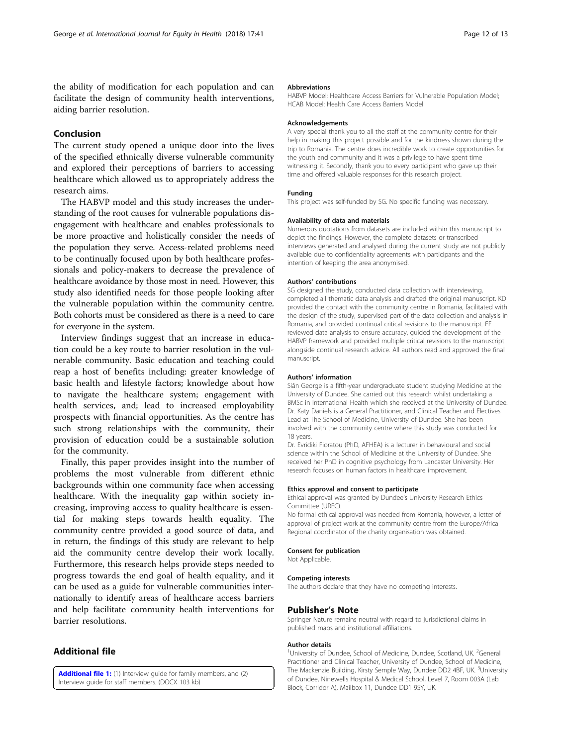<span id="page-11-0"></span>the ability of modification for each population and can facilitate the design of community health interventions, aiding barrier resolution.

# Conclusion

The current study opened a unique door into the lives of the specified ethnically diverse vulnerable community and explored their perceptions of barriers to accessing healthcare which allowed us to appropriately address the research aims.

The HABVP model and this study increases the understanding of the root causes for vulnerable populations disengagement with healthcare and enables professionals to be more proactive and holistically consider the needs of the population they serve. Access-related problems need to be continually focused upon by both healthcare professionals and policy-makers to decrease the prevalence of healthcare avoidance by those most in need. However, this study also identified needs for those people looking after the vulnerable population within the community centre. Both cohorts must be considered as there is a need to care for everyone in the system.

Interview findings suggest that an increase in education could be a key route to barrier resolution in the vulnerable community. Basic education and teaching could reap a host of benefits including: greater knowledge of basic health and lifestyle factors; knowledge about how to navigate the healthcare system; engagement with health services, and; lead to increased employability prospects with financial opportunities. As the centre has such strong relationships with the community, their provision of education could be a sustainable solution for the community.

Finally, this paper provides insight into the number of problems the most vulnerable from different ethnic backgrounds within one community face when accessing healthcare. With the inequality gap within society increasing, improving access to quality healthcare is essential for making steps towards health equality. The community centre provided a good source of data, and in return, the findings of this study are relevant to help aid the community centre develop their work locally. Furthermore, this research helps provide steps needed to progress towards the end goal of health equality, and it can be used as a guide for vulnerable communities internationally to identify areas of healthcare access barriers and help facilitate community health interventions for barrier resolutions.

# Additional file

[Additional file 1:](https://doi.org/10.1186/s12939-018-0753-9) (1) Interview guide for family members, and (2) Interview guide for staff members. (DOCX 103 kb)

#### Abbreviations

HABVP Model: Healthcare Access Barriers for Vulnerable Population Model; HCAB Model: Health Care Access Barriers Model

#### Acknowledgements

A very special thank you to all the staff at the community centre for their help in making this project possible and for the kindness shown during the trip to Romania. The centre does incredible work to create opportunities for the youth and community and it was a privilege to have spent time witnessing it. Secondly, thank you to every participant who gave up their time and offered valuable responses for this research project.

#### Funding

This project was self-funded by SG. No specific funding was necessary.

#### Availability of data and materials

Numerous quotations from datasets are included within this manuscript to depict the findings. However, the complete datasets or transcribed interviews generated and analysed during the current study are not publicly available due to confidentiality agreements with participants and the intention of keeping the area anonymised.

#### Authors' contributions

SG designed the study, conducted data collection with interviewing, completed all thematic data analysis and drafted the original manuscript. KD provided the contact with the community centre in Romania, facilitated with the design of the study, supervised part of the data collection and analysis in Romania, and provided continual critical revisions to the manuscript. EF reviewed data analysis to ensure accuracy, guided the development of the HABVP framework and provided multiple critical revisions to the manuscript alongside continual research advice. All authors read and approved the final manuscript.

#### Authors' information

Siân George is a fifth-year undergraduate student studying Medicine at the University of Dundee. She carried out this research whilst undertaking a BMSc in International Health which she received at the University of Dundee. Dr. Katy Daniels is a General Practitioner, and Clinical Teacher and Electives Lead at The School of Medicine, University of Dundee. She has been involved with the community centre where this study was conducted for 18 years.

Dr. Evridiki Fioratou (PhD, AFHEA) is a lecturer in behavioural and social science within the School of Medicine at the University of Dundee. She received her PhD in cognitive psychology from Lancaster University. Her research focuses on human factors in healthcare improvement.

#### Ethics approval and consent to participate

Ethical approval was granted by Dundee's University Research Ethics Committee (UREC).

No formal ethical approval was needed from Romania, however, a letter of approval of project work at the community centre from the Europe/Africa Regional coordinator of the charity organisation was obtained.

#### Consent for publication

Not Applicable.

#### Competing interests

The authors declare that they have no competing interests.

### Publisher's Note

Springer Nature remains neutral with regard to jurisdictional claims in published maps and institutional affiliations.

#### Author details

<sup>1</sup>University of Dundee, School of Medicine, Dundee, Scotland, UK. <sup>2</sup>General Practitioner and Clinical Teacher, University of Dundee, School of Medicine, The Mackenzie Building, Kirsty Semple Way, Dundee DD2 4BF, UK. <sup>3</sup>University of Dundee, Ninewells Hospital & Medical School, Level 7, Room 003A (Lab Block, Corridor A), Mailbox 11, Dundee DD1 9SY, UK.